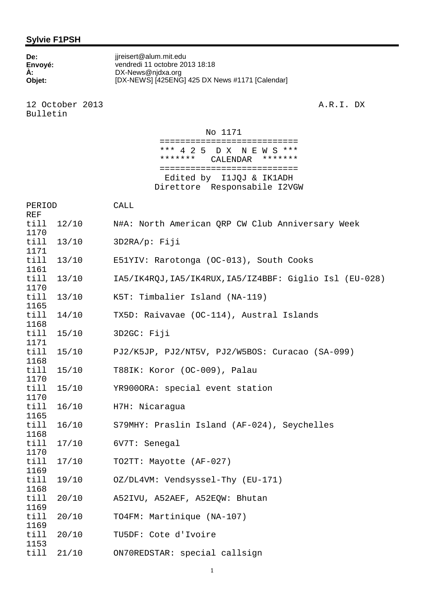## **Sylvie F1PSH**

| De:    |  |
|--------|--|
| Envoyé |  |
| А:     |  |
| Objet: |  |

**De:** jjreisert@alum.mit.edu **Envoyé:** vendredi 11 octobre 2013 18:18 **À:** DX-News@njdxa.org **pjet:** [DX-NEWS] [425ENG] 425 DX News #1171 [Calendar]

12 October 2013 **A.R.I. DX** Bulletin

## No 1171

 =========================== \*\*\* 4 2 5 D X N E W S \*\*\* \*\*\*\*\*\*\* CALENDAR \*\*\*\*\*\*\* =========================== Edited by I1JQJ & IK1ADH Direttore Responsabile I2VGW

| PERIOD       |       | CALL                                                    |
|--------------|-------|---------------------------------------------------------|
| <b>REF</b>   |       |                                                         |
| till<br>1170 | 12/10 | N#A: North American QRP CW Club Anniversary Week        |
| till<br>1171 | 13/10 | 3D2RA/p: Fiji                                           |
| till<br>1161 | 13/10 | E51YIV: Rarotonga (OC-013), South Cooks                 |
| till<br>1170 | 13/10 | IA5/IK4RQJ, IA5/IK4RUX, IA5/IZ4BBF: Giglio Isl (EU-028) |
| till<br>1165 | 13/10 | K5T: Timbalier Island (NA-119)                          |
| till<br>1168 | 14/10 | TX5D: Raivavae (OC-114), Austral Islands                |
| till<br>1171 | 15/10 | 3D2GC: Fiji                                             |
| till<br>1168 | 15/10 | PJ2/K5JP, PJ2/NT5V, PJ2/W5BOS: Curacao (SA-099)         |
| till<br>1170 | 15/10 | T88IK: Koror (OC-009), Palau                            |
| till<br>1170 | 15/10 | YR9000RA: special event station                         |
| till<br>1165 | 16/10 | H7H: Nicaragua                                          |
| till<br>1168 | 16/10 | S79MHY: Praslin Island (AF-024), Seychelles             |
| till<br>1170 | 17/10 | 6V7T: Senegal                                           |
| till<br>1169 | 17/10 | TO2TT: Mayotte (AF-027)                                 |
| till<br>1168 | 19/10 | OZ/DL4VM: Vendsyssel-Thy (EU-171)                       |
| till<br>1169 | 20/10 | A52IVU, A52AEF, A52EQW: Bhutan                          |
| till<br>1169 | 20/10 | TO4FM: Martinique (NA-107)                              |
| till<br>1153 | 20/10 | TU5DF: Cote d'Ivoire                                    |
| till         | 21/10 | ON70REDSTAR: special callsign                           |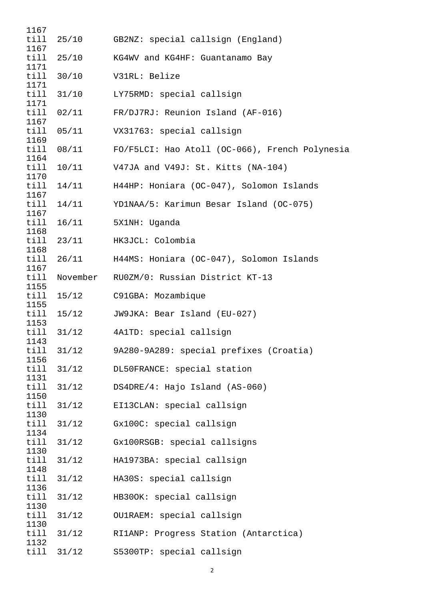| 1167         |                |                                                |
|--------------|----------------|------------------------------------------------|
| till         | 25/10          | GB2NZ: special callsign (England)              |
| 1167<br>till | 25/10          | KG4WV and KG4HF: Guantanamo Bay                |
| 1171         |                |                                                |
| till         | 30/10          | V31RL: Belize                                  |
| 1171<br>till | 31/10          | LY75RMD: special callsign                      |
| 1171         |                |                                                |
| till<br>1167 | 02/11          | FR/DJ7RJ: Reunion Island (AF-016)              |
| till<br>1169 | 05/11          | VX31763: special callsign                      |
| till<br>1164 | 08/11          | FO/F5LCI: Hao Atoll (OC-066), French Polynesia |
| till         |                | 10/11 V47JA and V49J: St. Kitts (NA-104)       |
| 1170<br>till | 14/11          | H44HP: Honiara (OC-047), Solomon Islands       |
| 1167<br>till | 14/11          | YD1NAA/5: Karimun Besar Island (OC-075)        |
| 1167<br>till | 16/11          | 5X1NH: Uganda                                  |
| 1168<br>till | 23/11          | HK3JCL: Colombia                               |
| 1168<br>till | 26/11          | H44MS: Honiara (OC-047), Solomon Islands       |
| 1167<br>till | November       | RU0ZM/0: Russian District KT-13                |
| 1155<br>till |                | 15/12 C91GBA: Mozambique                       |
| 1155<br>till | 15/12          | JW9JKA: Bear Island (EU-027)                   |
| 1153<br>till | 31/12          | 4A1TD: special callsign                        |
| 1143<br>till | 31/12          | 9A280-9A289: special prefixes (Croatia)        |
| 1156<br>till | 31/12          | DL50FRANCE: special station                    |
| 1131         |                |                                                |
| till<br>1150 | 31/12          | DS4DRE/4: Hajo Island (AS-060)                 |
| till<br>1130 | 31/12          | EI13CLAN: special callsign                     |
| till<br>1134 | 31/12          | Gx100C: special callsign                       |
| till<br>1130 | 31/12          | Gx100RSGB: special callsigns                   |
| till         | 31/12          | HA1973BA: special callsign                     |
| 1148<br>till | 31/12          | HA30S: special callsign                        |
| 1136<br>till | 31/12          | HB30OK: special callsign                       |
| 1130<br>till | 31/12          | OU1RAEM: special callsign                      |
| 1130<br>till | 31/12          | RI1ANP: Progress Station (Antarctica)          |
| 1132         | $til1$ $31/12$ | S5300TP: special callsign                      |

2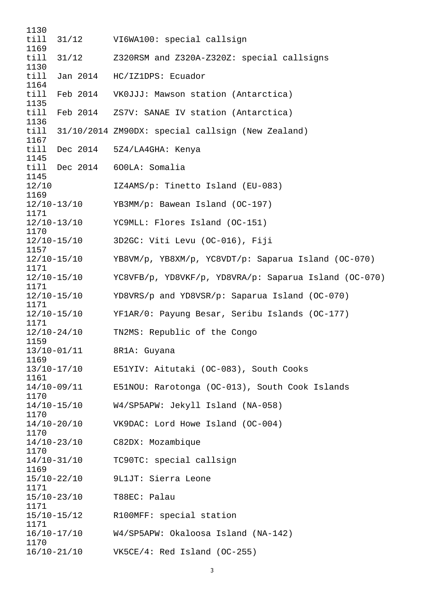| 1130                    |                 |                                                       |
|-------------------------|-----------------|-------------------------------------------------------|
| till                    |                 | 31/12 VI6WA100: special callsign                      |
| 1169<br>till            | 31/12           | Z320RSM and Z320A-Z320Z: special callsigns            |
| 1130                    |                 |                                                       |
| till                    |                 | Jan 2014 HC/IZ1DPS: Ecuador                           |
| 1164                    |                 |                                                       |
| till<br>1135            |                 | Feb 2014   VK0JJJ: Mawson station (Antarctica)        |
| till                    |                 | Feb 2014 ZS7V: SANAE IV station (Antarctica)          |
| 1136                    |                 |                                                       |
| till<br>1167            |                 | 31/10/2014 ZM90DX: special callsign (New Zealand)     |
| till                    |                 | Dec 2014 5Z4/LA4GHA: Kenya                            |
| 1145                    |                 |                                                       |
| till                    |                 | Dec 2014 600LA: Somalia                               |
| 1145<br>12/10           |                 | IZ4AMS/p: Tinetto Island (EU-083)                     |
| 1169                    |                 |                                                       |
| $12/10 - 13/10$         |                 | YB3MM/p: Bawean Island (OC-197)                       |
| 1171                    |                 |                                                       |
| 1170                    | $12/10 - 13/10$ | YC9MLL: Flores Island (OC-151)                        |
| $12/10 - 15/10$         |                 | 3D2GC: Viti Levu (OC-016), Fiji                       |
| 1157                    |                 |                                                       |
| $12/10 - 15/10$<br>1171 |                 | YB8VM/p, YB8XM/p, YC8VDT/p: Saparua Island (OC-070)   |
| $12/10 - 15/10$         |                 | YC8VFB/p, YD8VKF/p, YD8VRA/p: Saparua Island (OC-070) |
| 1171                    |                 |                                                       |
| $12/10 - 15/10$         |                 | YD8VRS/p and YD8VSR/p: Saparua Island (OC-070)        |
| 1171<br>$12/10 - 15/10$ |                 | YF1AR/0: Payung Besar, Seribu Islands (OC-177)        |
| 1171                    |                 |                                                       |
| $12/10 - 24/10$         |                 | TN2MS: Republic of the Congo                          |
| 1159                    | $13/10 - 01/11$ | 8R1A: Guyana                                          |
| 1169                    |                 |                                                       |
| $13/10 - 17/10$         |                 | E51YIV: Aitutaki (OC-083), South Cooks                |
| 1161                    |                 |                                                       |
| $14/10-09/11$<br>1170   |                 | E51NOU: Rarotonga (OC-013), South Cook Islands        |
| $14/10 - 15/10$         |                 | W4/SP5APW: Jekyll Island (NA-058)                     |
| 1170                    |                 |                                                       |
| $14/10 - 20/10$<br>1170 |                 | VK9DAC: Lord Howe Island (OC-004)                     |
| $14/10 - 23/10$         |                 | C82DX: Mozambique                                     |
| 1170                    |                 |                                                       |
| $14/10 - 31/10$         |                 | TC90TC: special callsign                              |
| 1169<br>$15/10 - 22/10$ |                 | 9L1JT: Sierra Leone                                   |
| 1171                    |                 |                                                       |
| $15/10-23/10$           |                 | T88EC: Palau                                          |
| 1171                    |                 |                                                       |
| $15/10 - 15/12$<br>1171 |                 | R100MFF: special station                              |
| $16/10 - 17/10$         |                 | W4/SP5APW: Okaloosa Island (NA-142)                   |
| 1170                    |                 |                                                       |
| $16/10 - 21/10$         |                 | $VK5CE/4: Red Island (OC-255)$                        |

3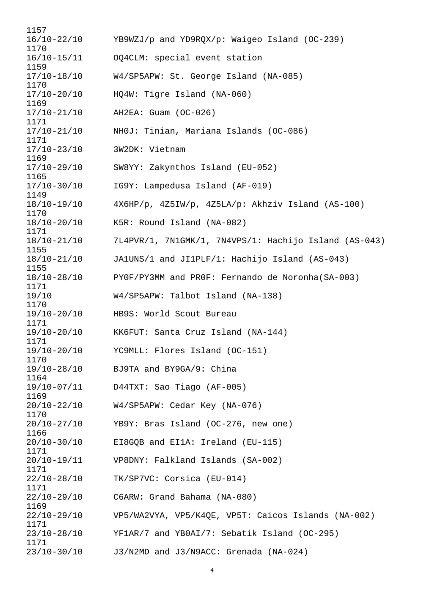| 1157                    |                                                       |
|-------------------------|-------------------------------------------------------|
| $16/10 - 22/10$<br>1170 | YB9WZJ/p and YD9RQX/p: Waigeo Island (OC-239)         |
| $16/10 - 15/11$<br>1159 | OQ4CLM: special event station                         |
| $17/10 - 18/10$<br>1170 | W4/SP5APW: St. George Island (NA-085)                 |
| $17/10 - 20/10$<br>1169 | HQ4W: Tigre Island (NA-060)                           |
| $17/10 - 21/10$<br>1171 | AH2EA: Guam (OC-026)                                  |
| $17/10 - 21/10$<br>1171 | NHOJ: Tinian, Mariana Islands (OC-086)                |
| $17/10 - 23/10$<br>1169 | 3W2DK: Vietnam                                        |
| $17/10 - 29/10$<br>1165 | SW8YY: Zakynthos Island (EU-052)                      |
| $17/10 - 30/10$<br>1149 | IG9Y: Lampedusa Island (AF-019)                       |
| $18/10 - 19/10$<br>1170 | 4X6HP/p, 4Z5IW/p, 4Z5LA/p: Akhziv Island (AS-100)     |
| $18/10 - 20/10$<br>1171 | K5R: Round Island (NA-082)                            |
| $18/10 - 21/10$<br>1155 | 7L4PVR/1, 7N1GMK/1, 7N4VPS/1: Hachijo Island (AS-043) |
| $18/10 - 21/10$<br>1155 | JA1UNS/1 and JI1PLF/1: Hachijo Island (AS-043)        |
| $18/10 - 28/10$<br>1171 | PYOF/PY3MM and PROF: Fernando de Noronha (SA-003)     |
| 19/10<br>1170           | W4/SP5APW: Talbot Island (NA-138)                     |
| $19/10 - 20/10$<br>1171 | HB9S: World Scout Bureau                              |
| $19/10 - 20/10$<br>1171 | KK6FUT: Santa Cruz Island (NA-144)                    |
| $19/10 - 20/10$<br>1170 | YC9MLL: Flores Island (OC-151)                        |
| 19/10-28/10<br>1164     | BJ9TA and BY9GA/9: China                              |
| 19/10-07/11<br>1169     | D44TXT: Sao Tiago (AF-005)                            |
| $20/10 - 22/10$<br>1170 | W4/SP5APW: Cedar Key (NA-076)                         |
| $20/10 - 27/10$<br>1166 | YB9Y: Bras Island (OC-276, new one)                   |
| $20/10 - 30/10$<br>1171 | EI8GQB and EI1A: Ireland (EU-115)                     |
| $20/10 - 19/11$<br>1171 | VP8DNY: Falkland Islands (SA-002)                     |
| $22/10-28/10$<br>1171   | TK/SP7VC: Corsica (EU-014)                            |
| $22/10 - 29/10$<br>1169 | C6ARW: Grand Bahama (NA-080)                          |
| $22/10 - 29/10$<br>1171 | VP5/WA2VYA, VP5/K4QE, VP5T: Caicos Islands (NA-002)   |
| $23/10 - 28/10$<br>1171 | YF1AR/7 and YB0AI/7: Sebatik Island (OC-295)          |
| $23/10 - 30/10$         | J3/N2MD and J3/N9ACC: Grenada (NA-024)                |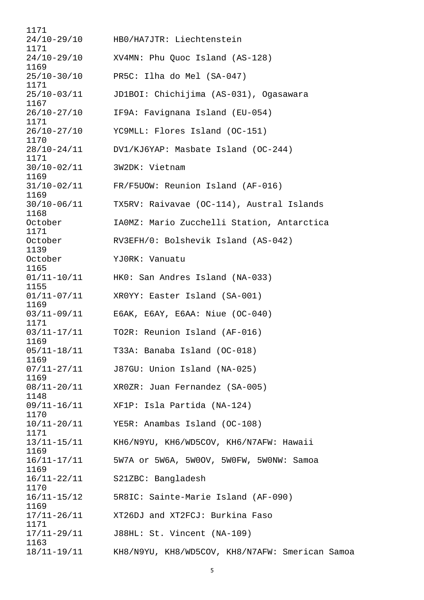| 1171                    |                                                 |
|-------------------------|-------------------------------------------------|
|                         | 24/10-29/10 HBO/HA7JTR: Liechtenstein           |
| 1171<br>$24/10 - 29/10$ | XV4MN: Phu Quoc Island (AS-128)                 |
| 1169                    |                                                 |
| $25/10-30/10$<br>1171   | PR5C: Ilha do Mel (SA-047)                      |
| $25/10-03/11$<br>1167   | JD1BOI: Chichijima (AS-031), Ogasawara          |
| $26/10 - 27/10$<br>1171 | IF9A: Favignana Island (EU-054)                 |
| $26/10 - 27/10$<br>1170 | YC9MLL: Flores Island (OC-151)                  |
| 28/10-24/11<br>1171     | DV1/KJ6YAP: Masbate Island (OC-244)             |
| $30/10 - 02/11$<br>1169 | 3W2DK: Vietnam                                  |
| $31/10 - 02/11$<br>1169 | FR/F5UOW: Reunion Island (AF-016)               |
| $30/10 - 06/11$<br>1168 | TX5RV: Raivavae (OC-114), Austral Islands       |
| October<br>1171         | IAOMZ: Mario Zucchelli Station, Antarctica      |
| October<br>1139         | RV3EFH/0: Bolshevik Island (AS-042)             |
| October<br>1165         | YJ0RK: Vanuatu                                  |
| 1155                    | 01/11-10/11 HKO: San Andres Island (NA-033)     |
| $01/11 - 07/11$<br>1169 | XROYY: Easter Island (SA-001)                   |
| $03/11 - 09/11$<br>1171 | E6AK, E6AY, E6AA: Niue $(OC-040)$               |
| $03/11 - 17/11$<br>1169 | TO2R: Reunion Island (AF-016)                   |
| $05/11 - 18/11$<br>1169 | T33A: Banaba Island (OC-018)                    |
| $07/11 - 27/11$<br>1169 | J87GU: Union Island (NA-025)                    |
| $08/11 - 20/11$<br>1148 | XROZR: Juan Fernandez (SA-005)                  |
| $09/11 - 16/11$<br>1170 | XF1P: Isla Partida (NA-124)                     |
| $10/11 - 20/11$<br>1171 | YE5R: Anambas Island (OC-108)                   |
| $13/11 - 15/11$<br>1169 | KH6/N9YU, KH6/WD5COV, KH6/N7AFW: Hawaii         |
| 16/11-17/11<br>1169     | 5W7A or 5W6A, 5W0OV, 5W0FW, 5W0NW: Samoa        |
| 16/11-22/11<br>1170     | S21ZBC: Bangladesh                              |
| 16/11-15/12<br>1169     | 5R8IC: Sainte-Marie Island (AF-090)             |
| $17/11 - 26/11$<br>1171 | XT26DJ and XT2FCJ: Burkina Faso                 |
| 17/11-29/11<br>1163     | J88HL: St. Vincent (NA-109)                     |
| 18/11-19/11             | KH8/N9YU, KH8/WD5COV, KH8/N7AFW: Smerican Samoa |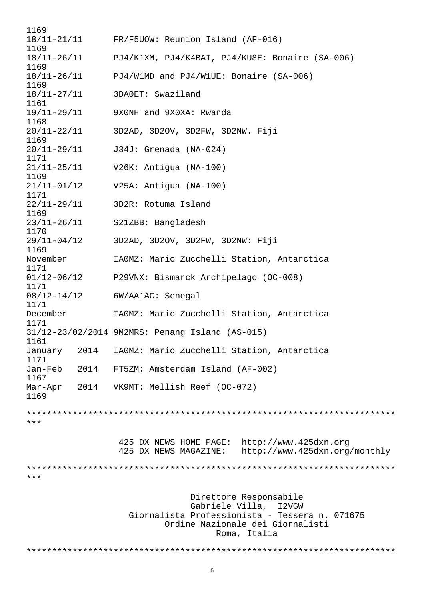1169 18/11-21/11 FR/F5UOW: Reunion Island (AF-016) 1169 18/11-26/11 PJ4/K1XM, PJ4/K4BAI, PJ4/KU8E: Bonaire (SA-006) 1169 18/11-26/11 PJ4/W1MD and PJ4/W1UE: Bonaire (SA-006) 1169 18/11-27/11 3DA0ET: Swaziland 1161 19/11-29/11 9X0NH and 9X0XA: Rwanda 1168 20/11-22/11 3D2AD, 3D2OV, 3D2FW, 3D2NW. Fiji 1169 20/11-29/11 J34J: Grenada (NA-024) 1171 21/11-25/11 V26K: Antigua (NA-100) 1169 21/11-01/12 V25A: Antigua (NA-100) 1171 22/11-29/11 3D2R: Rotuma Island 1169 23/11-26/11 S21ZBB: Bangladesh 1170 29/11-04/12 3D2AD, 3D2OV, 3D2FW, 3D2NW: Fiji 1169 November IA0MZ: Mario Zucchelli Station, Antarctica 1171 01/12-06/12 P29VNX: Bismarck Archipelago (OC-008) 1171 08/12-14/12 6W/AA1AC: Senegal 1171 December IA0MZ: Mario Zucchelli Station, Antarctica 1171 31/12-23/02/2014 9M2MRS: Penang Island (AS-015) 1161 January 2014 IA0MZ: Mario Zucchelli Station, Antarctica 1171 Jan-Feb 2014 FT5ZM: Amsterdam Island (AF-002) 1167 Mar-Apr 2014 VK9MT: Mellish Reef (OC-072) 1169 \*\*\*\*\*\*\*\*\*\*\*\*\*\*\*\*\*\*\*\*\*\*\*\*\*\*\*\*\*\*\*\*\*\*\*\*\*\*\*\*\*\*\*\*\*\*\*\*\*\*\*\*\*\*\*\*\*\*\*\*\*\*\*\*\*\*\*\*\*\*\*\* \*\*\* 425 DX NEWS HOME PAGE: http://www.425dxn.org 425 DX NEWS MAGAZINE: http://www.425dxn.org/monthly \*\*\*\*\*\*\*\*\*\*\*\*\*\*\*\*\*\*\*\*\*\*\*\*\*\*\*\*\*\*\*\*\*\*\*\*\*\*\*\*\*\*\*\*\*\*\*\*\*\*\*\*\*\*\*\*\*\*\*\*\*\*\*\*\*\*\*\*\*\*\*\* \*\*\* Direttore Responsabile Gabriele Villa, I2VGW Giornalista Professionista - Tessera n. 071675 Ordine Nazionale dei Giornalisti Roma, Italia \*\*\*\*\*\*\*\*\*\*\*\*\*\*\*\*\*\*\*\*\*\*\*\*\*\*\*\*\*\*\*\*\*\*\*\*\*\*\*\*\*\*\*\*\*\*\*\*\*\*\*\*\*\*\*\*\*\*\*\*\*\*\*\*\*\*\*\*\*\*\*\*